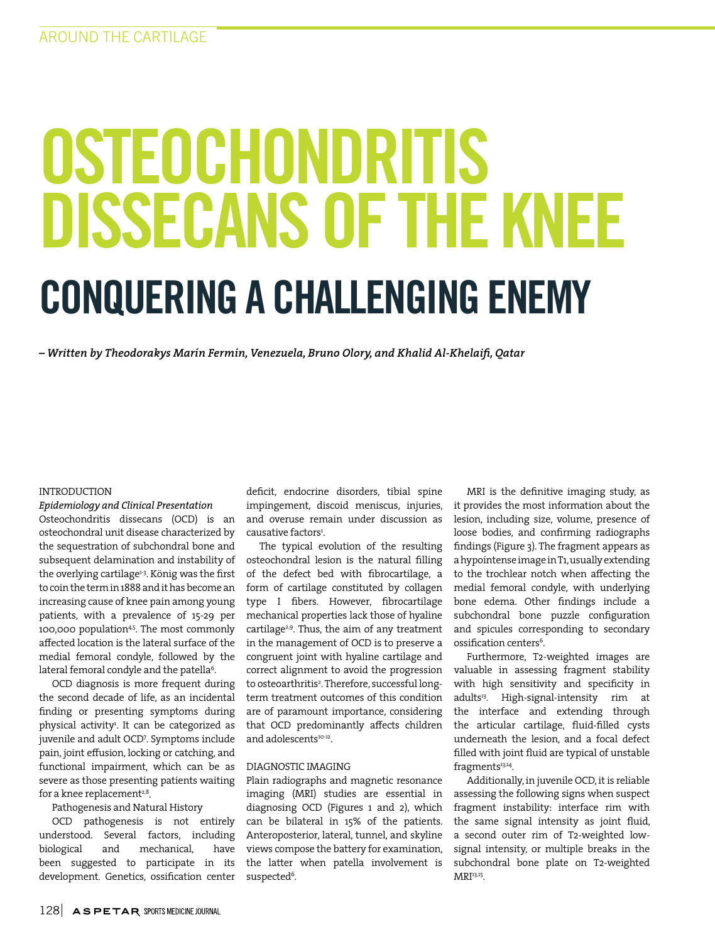# OSTEOCHONDRITIS DISSECANS OF THE KNEE CONQUERING A CHALLENGING ENEMY

*– Written by Theodorakys Marín Fermín, Venezuela, Bruno Olory, and Khalid Al-Khelaifi, Qatar*

#### INTRODUCTION

*Epidemiology and Clinical Presentation* 

Osteochondritis dissecans (OCD) is an osteochondral unit disease characterized by the sequestration of subchondral bone and subsequent delamination and instability of the overlying cartilage<sup>1-3</sup>. König was the first to coin the term in 1888 and it has become an increasing cause of knee pain among young patients, with a prevalence of 15-29 per 100,000 population<sup>45</sup>. The most commonly affected location is the lateral surface of the medial femoral condyle, followed by the lateral femoral condyle and the patella $^{\rm 6}$ .

OCD diagnosis is more frequent during the second decade of life, as an incidental finding or presenting symptoms during physical activity<sup>1</sup>. It can be categorized as juvenile and adult OCD7 . Symptoms include pain, joint effusion, locking or catching, and functional impairment, which can be as severe as those presenting patients waiting for a knee replacement $2,8$ .

#### Pathogenesis and Natural History

OCD pathogenesis is not entirely understood. Several factors, including biological and mechanical, have been suggested to participate in its development. Genetics, ossification center

deficit, endocrine disorders, tibial spine impingement, discoid meniscus, injuries, and overuse remain under discussion as causative factors<sup>1</sup>.

The typical evolution of the resulting osteochondral lesion is the natural filling of the defect bed with fibrocartilage, a form of cartilage constituted by collagen type I fibers. However, fibrocartilage mechanical properties lack those of hyaline cartilage<sup>2,9</sup>. Thus, the aim of any treatment in the management of OCD is to preserve a congruent joint with hyaline cartilage and correct alignment to avoid the progression to osteoarthritis². Therefore, successful longterm treatment outcomes of this condition are of paramount importance, considering that OCD predominantly affects children and adolescents<sup>10-12</sup>.

#### DIAGNOSTIC IMAGING

Plain radiographs and magnetic resonance imaging (MRI) studies are essential in diagnosing OCD (Figures 1 and 2), which can be bilateral in 15% of the patients. Anteroposterior, lateral, tunnel, and skyline views compose the battery for examination, the latter when patella involvement is suspected<sup>6</sup>.

MRI is the definitive imaging study, as it provides the most information about the lesion, including size, volume, presence of loose bodies, and confirming radiographs findings (Figure 3). The fragment appears as a hypointense image in T1, usually extending to the trochlear notch when affecting the medial femoral condyle, with underlying bone edema. Other findings include a subchondral bone puzzle configuration and spicules corresponding to secondary ossification centers<sup>6</sup>.

Furthermore, T2-weighted images are valuable in assessing fragment stability with high sensitivity and specificity in adults<sup>13</sup>. High-signal-intensity rim at the interface and extending through the articular cartilage, fluid-filled cysts underneath the lesion, and a focal defect filled with joint fluid are typical of unstable fragments<sup>13,14</sup>.

Additionally, in juvenile OCD, it is reliable assessing the following signs when suspect fragment instability: interface rim with the same signal intensity as joint fluid, a second outer rim of T2-weighted lowsignal intensity, or multiple breaks in the subchondral bone plate on T2-weighted MRI<sup>13,15</sup>.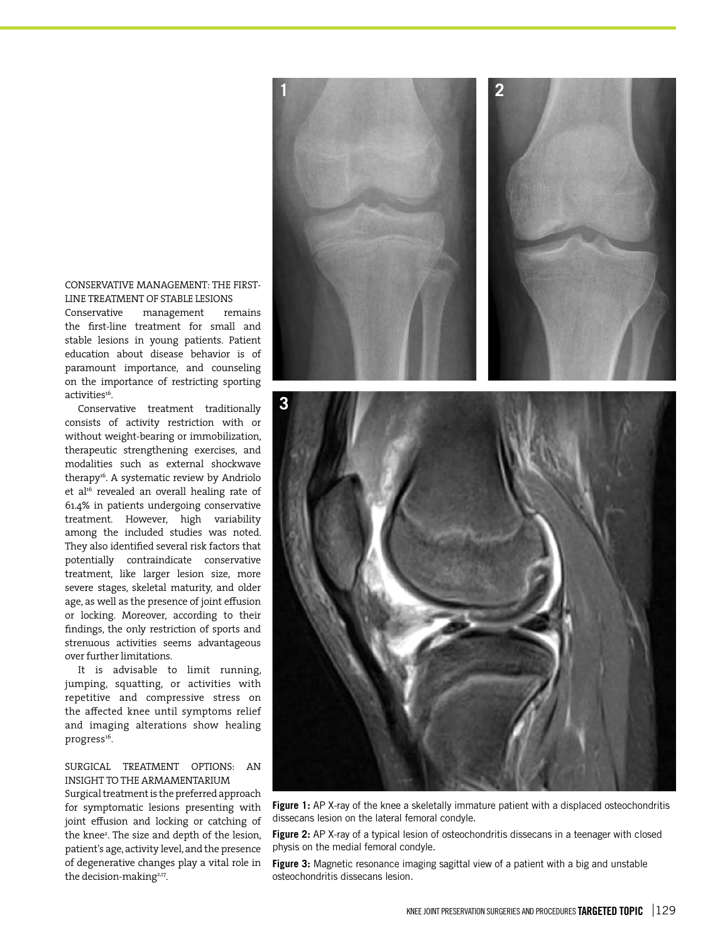#### CONSERVATIVE MANAGEMENT: THE FIRST-LINE TREATMENT OF STABLE LESIONS

Conservative management remains the first-line treatment for small and stable lesions in young patients. Patient education about disease behavior is of paramount importance, and counseling on the importance of restricting sporting activities<sup>16</sup>.

Conservative treatment traditionally consists of activity restriction with or without weight-bearing or immobilization, therapeutic strengthening exercises, and modalities such as external shockwave therapy<sup>16</sup>. A systematic review by Andriolo et al<sup>16</sup> revealed an overall healing rate of 61.4% in patients undergoing conservative treatment. However, high variability among the included studies was noted. They also identified several risk factors that potentially contraindicate conservative treatment, like larger lesion size, more severe stages, skeletal maturity, and older age, as well as the presence of joint effusion or locking. Moreover, according to their findings, the only restriction of sports and strenuous activities seems advantageous over further limitations.

It is advisable to limit running, jumping, squatting, or activities with repetitive and compressive stress on the affected knee until symptoms relief and imaging alterations show healing progress<sup>16</sup>.

#### SURGICAL TREATMENT OPTIONS: AN INSIGHT TO THE ARMAMENTARIUM

Surgical treatment is the preferred approach for symptomatic lesions presenting with joint effusion and locking or catching of the knee<sup>2</sup>. The size and depth of the lesion, patient's age, activity level, and the presence of degenerative changes play a vital role in the decision-making<sup>2,17</sup>.

Figure 1: AP X-ray of the knee a skeletally immature patient with a displaced osteochondritis dissecans lesion on the lateral femoral condyle.

Figure 2: AP X-ray of a typical lesion of osteochondritis dissecans in a teenager with closed physis on the medial femoral condyle.

**Figure 3:** Magnetic resonance imaging sagittal view of a patient with a big and unstable osteochondritis dissecans lesion.



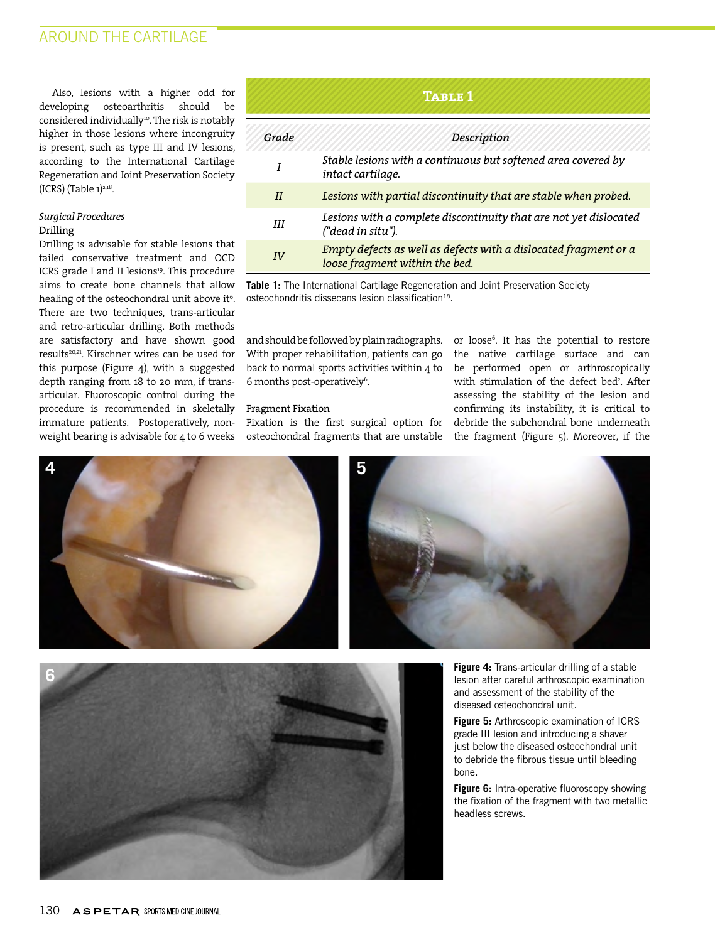Also, lesions with a higher odd for developing osteoarthritis should be considered individually<sup>10</sup>. The risk is notably higher in those lesions where incongruity is present, such as type III and IV lesions, according to the International Cartilage Regeneration and Joint Preservation Society  $(ICRS)$  (Table  $1)^{2,18}$ .

#### *Surgical Procedures* Drilling

Drilling is advisable for stable lesions that failed conservative treatment and OCD ICRS grade I and II lesions<sup>19</sup>. This procedure aims to create bone channels that allow healing of the osteochondral unit above it $^6$ . There are two techniques, trans-articular and retro-articular drilling. Both methods are satisfactory and have shown good results20,21. Kirschner wires can be used for this purpose (Figure 4), with a suggested depth ranging from 18 to 20 mm, if transarticular. Fluoroscopic control during the procedure is recommended in skeletally immature patients. Postoperatively, nonweight bearing is advisable for 4 to 6 weeks

| TABLE 1 |                                                                                                    |
|---------|----------------------------------------------------------------------------------------------------|
| Grade   | Description                                                                                        |
|         | Stable lesions with a continuous but softened area covered by<br>intact cartilage.                 |
| II      | Lesions with partial discontinuity that are stable when probed.                                    |
| HІ      | Lesions with a complete discontinuity that are not yet dislocated<br>("dead in situ").             |
| IV      | Empty defects as well as defects with a dislocated fragment or a<br>loose fragment within the bed. |

**Table 1:** The International Cartilage Regeneration and Joint Preservation Society osteochondritis dissecans lesion classification<sup>18</sup>.

and should be followed by plain radiographs. With proper rehabilitation, patients can go back to normal sports activities within 4 to  $6$  months post-operatively $\delta$ .

#### Fragment Fixation

Fixation is the first surgical option for osteochondral fragments that are unstable

or loose6 . It has the potential to restore the native cartilage surface and can be performed open or arthroscopically with stimulation of the defect bed<sup>2</sup>. After assessing the stability of the lesion and confirming its instability, it is critical to debride the subchondral bone underneath the fragment (Figure 5). Moreover, if the





**Figure 4:** Trans-articular drilling of a stable lesion after careful arthroscopic examination and assessment of the stability of the diseased osteochondral unit.

**Figure 5:** Arthroscopic examination of ICRS grade III lesion and introducing a shaver just below the diseased osteochondral unit to debride the fibrous tissue until bleeding bone.

**Figure 6:** Intra-operative fluoroscopy showing the fixation of the fragment with two metallic headless screws.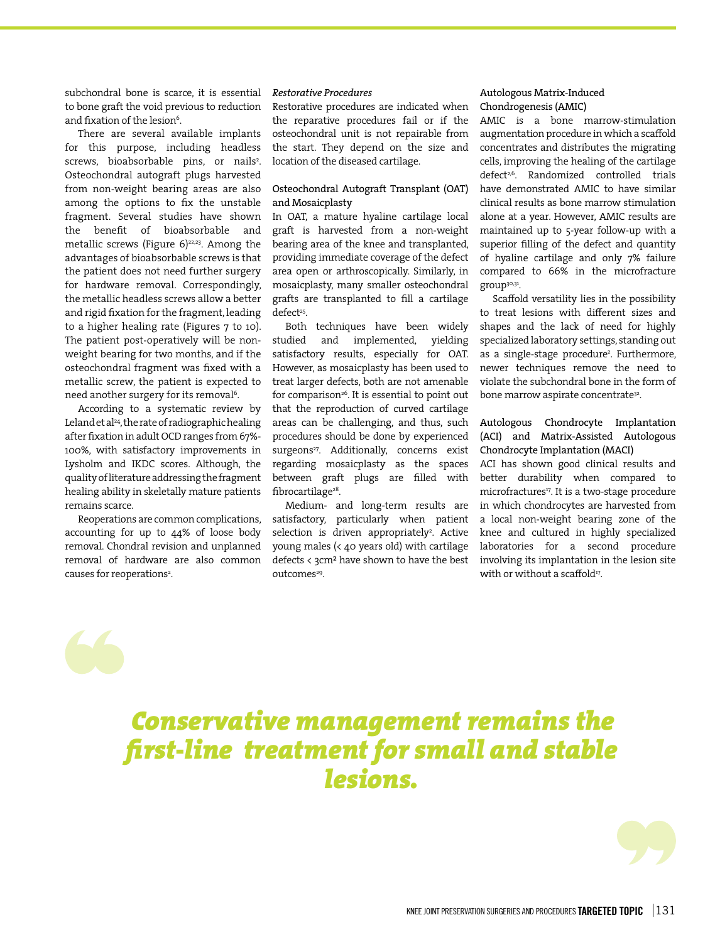subchondral bone is scarce, it is essential to bone graft the void previous to reduction and fixation of the lesion<sup>6</sup>.

There are several available implants for this purpose, including headless screws, bioabsorbable pins, or nails<sup>2</sup>. Osteochondral autograft plugs harvested from non-weight bearing areas are also among the options to fix the unstable fragment. Several studies have shown the benefit of bioabsorbable and metallic screws (Figure  $6$ )<sup>22,23</sup>. Among the advantages of bioabsorbable screws is that the patient does not need further surgery for hardware removal. Correspondingly, the metallic headless screws allow a better and rigid fixation for the fragment, leading to a higher healing rate (Figures 7 to 10). The patient post-operatively will be nonweight bearing for two months, and if the osteochondral fragment was fixed with a metallic screw, the patient is expected to need another surgery for its removal<sup>6</sup>.

According to a systematic review by Leland et al<sup>24</sup>, the rate of radiographic healing after fixation in adult OCD ranges from 67%- 100%, with satisfactory improvements in Lysholm and IKDC scores. Although, the quality of literature addressing the fragment healing ability in skeletally mature patients remains scarce.

Reoperations are common complications, accounting for up to 44% of loose body removal. Chondral revision and unplanned removal of hardware are also common causes for reoperations<sup>2</sup>.

#### *Restorative Procedures*

Restorative procedures are indicated when the reparative procedures fail or if the osteochondral unit is not repairable from the start. They depend on the size and location of the diseased cartilage.

#### Osteochondral Autograft Transplant (OAT) and Mosaicplasty

In OAT, a mature hyaline cartilage local graft is harvested from a non-weight bearing area of the knee and transplanted, providing immediate coverage of the defect area open or arthroscopically. Similarly, in mosaicplasty, many smaller osteochondral grafts are transplanted to fill a cartilage defect<sup>25</sup>.

Both techniques have been widely<br>studied and implemented, vielding and implemented, yielding satisfactory results, especially for OAT. However, as mosaicplasty has been used to treat larger defects, both are not amenable for comparison<sup>26</sup>. It is essential to point out that the reproduction of curved cartilage areas can be challenging, and thus, such procedures should be done by experienced surgeons<sup>27</sup>. Additionally, concerns exist regarding mosaicplasty as the spaces between graft plugs are filled with fibrocartilage<sup>28</sup>.

Medium- and long-term results are satisfactory, particularly when patient selection is driven appropriately<sup>2</sup>. Active young males (< 40 years old) with cartilage defects < 3cm² have shown to have the best outcomes<sup>29</sup>.

#### Autologous Matrix-Induced Chondrogenesis (AMIC)

AMIC is a bone marrow-stimulation augmentation procedure in which a scaffold concentrates and distributes the migrating cells, improving the healing of the cartilage defect<sup>2,6</sup>. Randomized controlled trials have demonstrated AMIC to have similar clinical results as bone marrow stimulation alone at a year. However, AMIC results are maintained up to 5-year follow-up with a superior filling of the defect and quantity of hyaline cartilage and only 7% failure compared to 66% in the microfracture group30,31.

Scaffold versatility lies in the possibility to treat lesions with different sizes and shapes and the lack of need for highly specialized laboratory settings, standing out as a single-stage procedure2 . Furthermore, newer techniques remove the need to violate the subchondral bone in the form of bone marrow aspirate concentrate<sup>32</sup>.

#### Autologous Chondrocyte Implantation (ACI) and Matrix-Assisted Autologous Chondrocyte Implantation (MACI)

ACI has shown good clinical results and better durability when compared to microfractures<sup>17</sup>. It is a two-stage procedure in which chondrocytes are harvested from a local non-weight bearing zone of the knee and cultured in highly specialized laboratories for a second procedure involving its implantation in the lesion site with or without a scaffold<sup>17</sup>.

## *Conservative management remains the first-line treatment for small and stable lesions.*

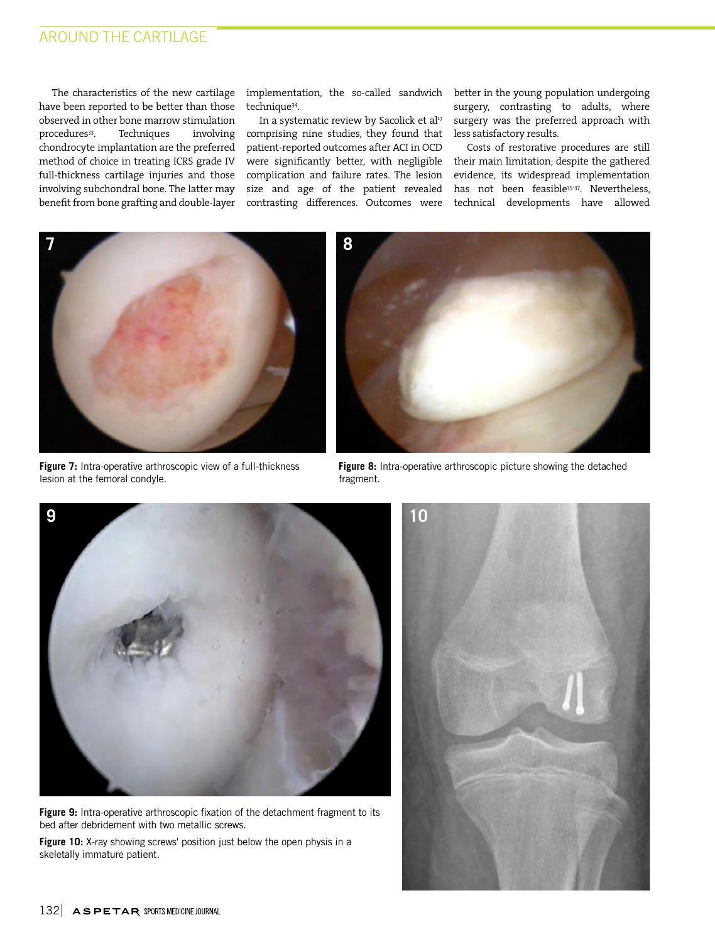### AROUND THE CARTILAGE

The characteristics of the new cartilage have been reported to be better than those observed in other bone marrow stimulation<br>procedures<sup>33</sup>. Techniques involving procedures<sup>33</sup>. chondrocyte implantation are the preferred method of choice in treating ICRS grade IV full-thickness cartilage injuries and those involving subchondral bone. The latter may benefit from bone grafting and double-layer

implementation, the so-called sandwich technique34.

In a systematic review by Sacolick et al<sup>17</sup> comprising nine studies, they found that patient-reported outcomes after ACI in OCD were significantly better, with negligible complication and failure rates. The lesion size and age of the patient revealed contrasting differences. Outcomes were

better in the young population undergoing surgery, contrasting to adults, where surgery was the preferred approach with less satisfactory results.

Costs of restorative procedures are still their main limitation; despite the gathered evidence, its widespread implementation has not been feasible35-37. Nevertheless, technical developments have allowed



**Figure 7:** Intra-operative arthroscopic view of a full-thickness lesion at the femoral condyle.



**Figure 8:** Intra-operative arthroscopic picture showing the detached fragment.



Figure 9: Intra-operative arthroscopic fixation of the detachment fragment to its bed after debridement with two metallic screws.

**Figure 10:** X-ray showing screws' position just below the open physis in a skeletally immature patient.